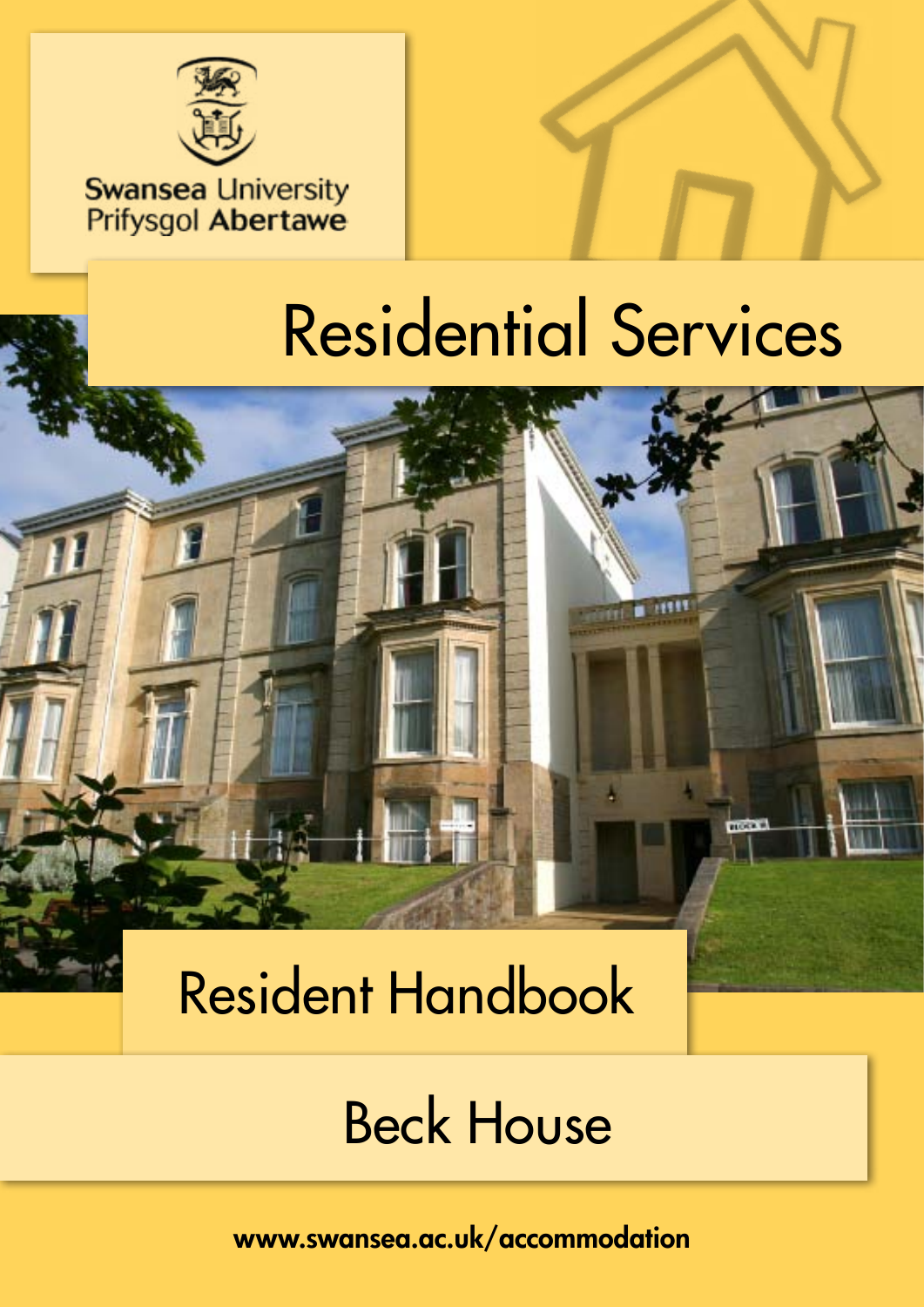

### **Swansea University** Prifysgol Abertawe

# Residential Services

# Resident Handbook

# Beck House

www.swansea.ac.uk/accommodation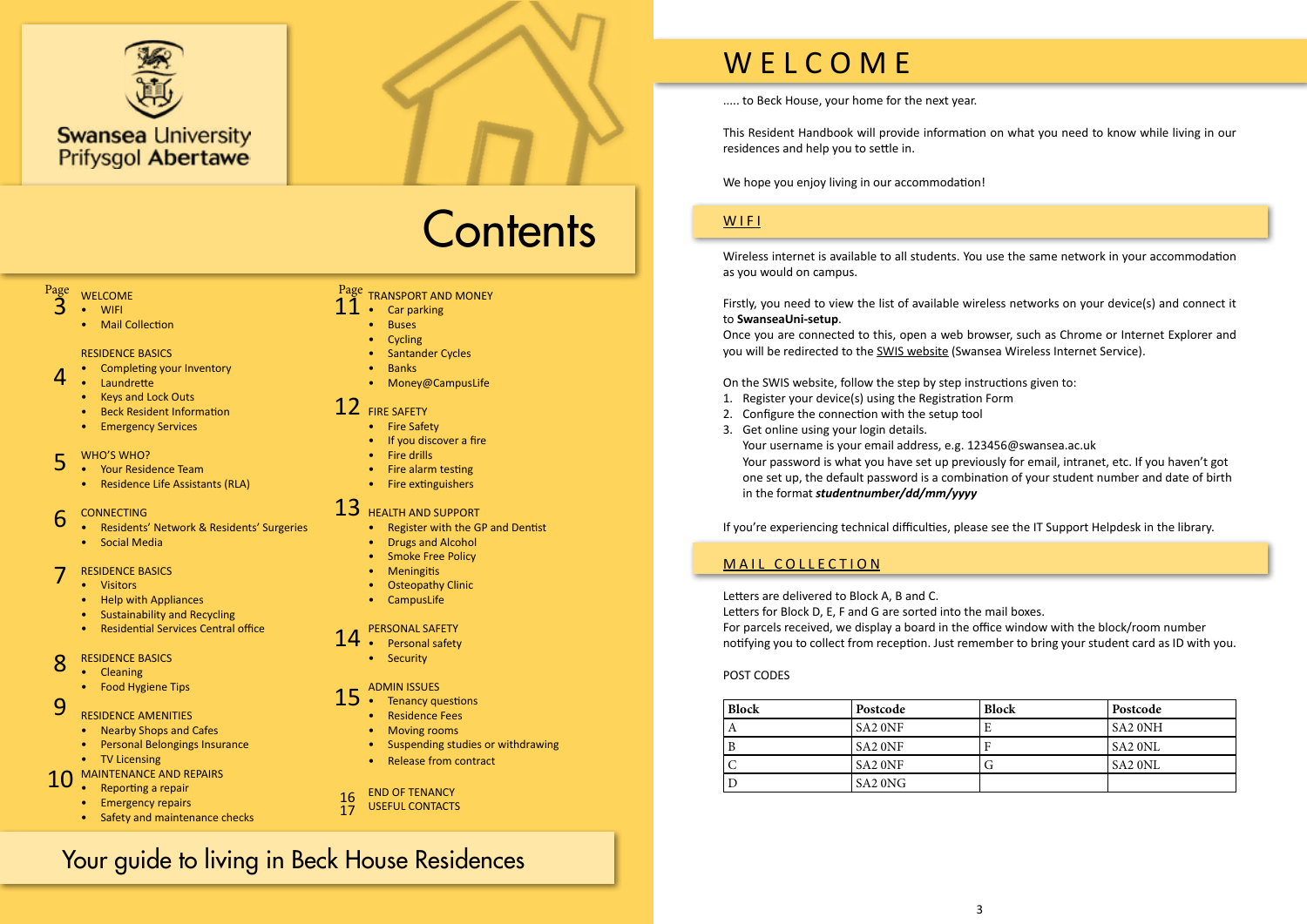

# **Contents**

..... to Beck House, your home for the next year.

This Resident Handbook will provide information on what you need to know while living in our residences and help you to settle in.

We hope you enjoy living in our accommodation!

### WIFI

Wireless internet is available to all students. You use the same network in your accommodation as you would on campus.

Firstly, you need to view the list of available wireless networks on your device(s) and connect it to **SwanseaUni-setup**.

Once you are connected to this, open a web browser, such as Chrome or Internet Explorer and you will be redirected to the [SWIS website](http://swis.swan.ac.uk/) (Swansea Wireless Internet Service).

On the SWIS website, follow the step by step instructions given to:

#### Page Page WELCOME Page<br>3

- 1. Register your device(s) using the Registration Form
- 2. Configure the connection with the setup tool
- 3. Get online using your login details. Your username is your email address, e.g. 123456@swansea.ac.uk Your password is what you have set up previously for email, intranet, etc. If you haven't got in the format *studentnumber/dd/mm/yyyy*

one set up, the default password is a combination of your student number and date of birth

- Nearby Shops and Cafes
- Personal Belongings Insurance
- TV Licensing
- [MAINTENANCE AND REPAIRS](#page-5-0) 10
	- [Reporting a repair](#page-5-0)
	- [Emergency repairs](#page-5-0)
	- [Safety and maintenance checks](#page-5-0)

If you're experiencing technical difficulties, please see the IT Support Helpdesk in the library.

### MAIL COLLECTION

Letters are delivered to Block A, B and C. Letters for Block D, E, F and G are sorted into the mail boxes. For parcels received, we display a board in the office window with the block/room number notifying you to collect from reception. Just remember to bring your student card as ID with you.

#### POST CODES

| <b>Block</b> | Postcode                        | <b>Block</b> | Postcode            |
|--------------|---------------------------------|--------------|---------------------|
| A            | SA <sub>2</sub> ONF             | Е            | <b>SA2 ONH</b>      |
|              | <b>SA2 ONF</b>                  | н            | $S_A2$ ONL          |
|              | SA <sub>2</sub> ONF             |              | SA <sub>2</sub> ONL |
|              | SA <sub>2</sub> ON <sub>G</sub> |              |                     |

- WIFI
	- Mail Collection

#### RESIDENCE BASICS

- Completing your Inventory
- Laundrette
- Keys and Lock Out[s](#page-2-0)
- [Beck Resident Information](#page-2-0)
- [Emergency Services](#page-2-0)

- [Your Residence Team](#page-3-0)
- Residence Life Assistants (RLA)

- [Residents' Network & Residents' Surgeries](#page-3-0)
- [Social Media](#page-3-0)

- Visitors
- Help with Appliances
- Sustainability and Recycling
- Residential Services Central office

- [Cleaning](#page-4-0)
- [Food Hygiene Tips](#page-4-0)

#### [TRANSPORT AND MONEY](#page-5-0)

#### WHO'S WHO? 5

- [Car parking](#page-5-0) 11
	- [Buses](#page-5-0)
	- [Cycling](#page-5-0)
	- [Santander Cycles](#page-5-0)
	- [Banks](#page-5-0)
	- [Money@CampusLife](#page-5-0)

#### CONNECTIN[G](#page-3-0) 6

#### RESIDENCE BASICS 7

- [Fire Safety](#page-6-0)
- [If you discover a fire](#page-6-0)
- [Fire drills](#page-6-0)
- [Fire alarm testing](#page-6-0)
- [Fire extinguishers](#page-6-0)

#### [RESIDENCE BASICS](#page-4-0) 8

#### RESIDENCE AMENITIES 9

- [Register with the GP and Dentist](#page-6-0)
- [Drugs and Alcohol](#page-6-0)
- **[Smoke Free Policy](#page-6-0)**
- [Meningitis](#page-6-0)
- [Osteopathy Clinic](#page-6-0)
- [CampusLife](#page-6-0)

#### [FIRE SAFETY](#page-6-0) 12

- [Personal safety](#page-7-0)
- [Security](#page-7-0)

#### [HEALTH AND SUPPORT](#page-6-0) 13

- [Tenancy questions](#page-7-0)
- [Residence Fees](#page-7-0)
- [Moving rooms](#page-7-0)
- [Suspending studies or withdrawing](#page-7-0)
- [Release from contract](#page-7-0)

#### [PERSONAL SAFETY](#page-7-0) 14

#### [ADMIN ISSUES](#page-7-0) 15

4

l

#### [END OF TENANCY](#page-8-0) 16

[USEFUL CONTACTS](#page-8-0) 17

### Your guide to living in Beck House Residences

# W E L C O M E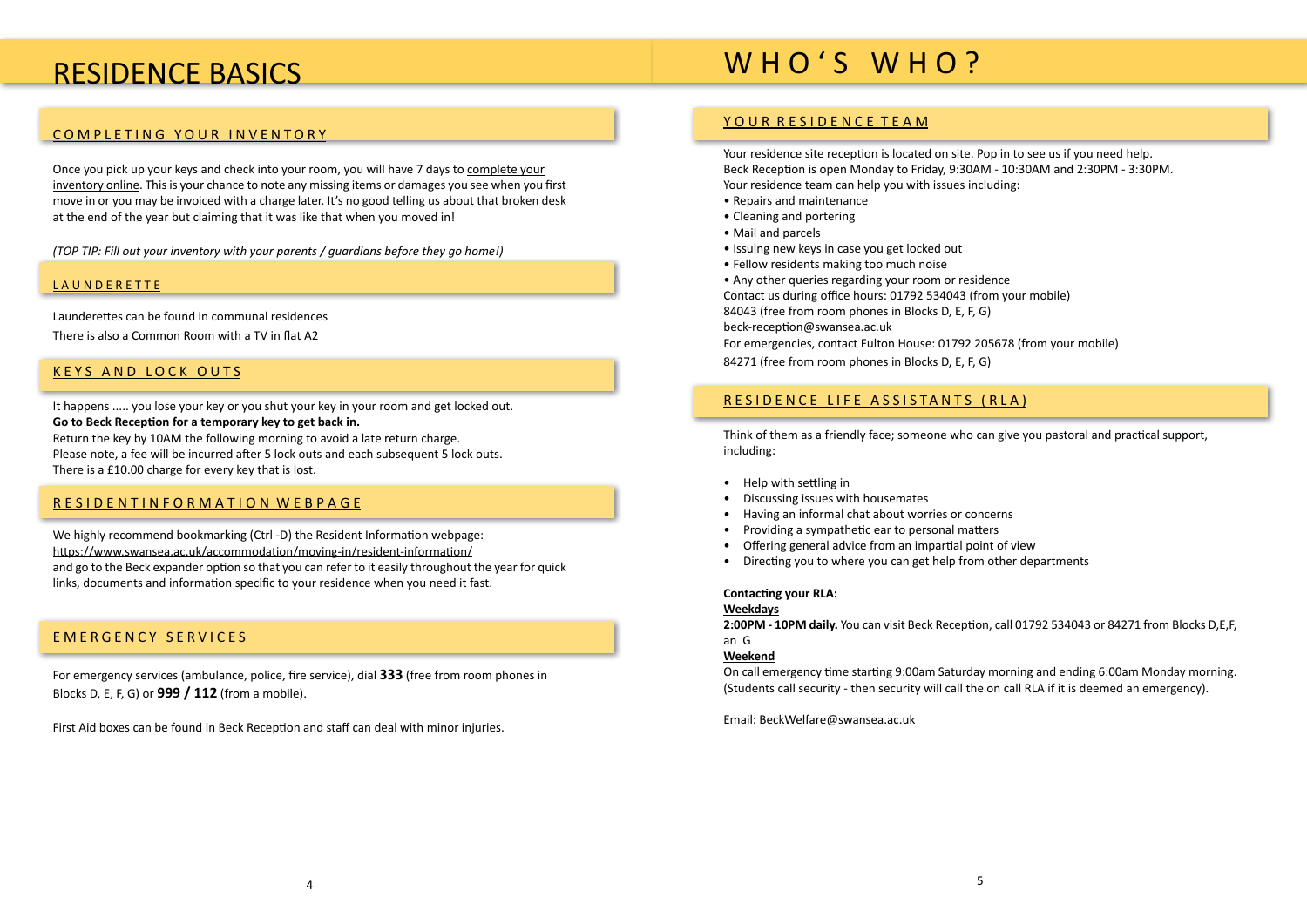### <span id="page-2-0"></span>RESIDENCE BASICS

#### [COMPLETING YOUR INVENTORY](http://onlineinventory.swansea.induction.org.uk/student/StudentRegistration.aspx)

Once you pick up your keys and check into your room, you will have 7 days to [complete your](http://onlineinventory.swansea.induction.org.uk/student/StudentRegistration.aspx) [inventory online](http://onlineinventory.swansea.induction.org.uk/student/StudentRegistration.aspx). This is your chance to note any missing items or damages you see when you first move in or you may be invoiced with a charge later. It's no good telling us about that broken desk at the end of the year but claiming that it was like that when you moved in!

*(TOP TIP: Fill out your inventory with your parents / guardians before they go home!)*

#### L A U N D E R E T T E

Launderettes can be found in communal residences There is also a Common Room with a TV in flat A2

#### KEYS AND LOCK OUTS

We highly recommend bookmarking (Ctrl -D) [the Resident Information webpage](https://www.swansea.ac.uk/accommodation/moving-in/resident-information/): https://www.swansea.ac.uk/accommodation/moving-in/resident-information/ and go to the Beck expander option so that you can refer to it easily throughout the year for quick links, documents and information specific to your residence when you need it fast.

It happens ..... you lose your key or you shut your key in your room and get locked out. **Go to Beck Reception for a temporary key to get back in.** Return the key by 10AM the following morning to avoid a late return charge. Please note, a fee will be incurred after 5 lock outs and each subsequent 5 lock outs. There is a £10.00 charge for every key that is lost.

#### RESIDENTINFORMATION WEBPAGE

#### EMERGENCY SERVICES

For emergency services (ambulance, police, fire service), dial **333** (free from room phones in Blocks D, E, F, G) or **999 / 112** (from a mobile).

First Aid boxes can be found in Beck Reception and staff can deal with minor injuries.

### WHO'S WHO?

#### YOUR RESIDENCE TEAM

Your residence site reception is located on site. Pop in to see us if you need help. Beck Reception is open Monday to Friday, 9:30AM - 10:30AM and 2:30PM - 3:30PM. Your residence team can help you with issues including:

- Repairs and maintenance
- Cleaning and portering
- Mail and parcels
- Issuing new keys in case you get locked out
- Fellow residents making too much noise

• Any other queries regarding your room or residence Contact us during office hours: 01792 534043 (from your mobile) 84043 (free from room phones in Blocks D, E, F, G) beck-reception@swansea.ac.uk

For emergencies, contact Fulton House: 01792 205678 (from your mobile) 84271 (free from room phones in Blocks D, E, F, G)

#### RESIDENCE LIFE ASSISTANT[S](http://www.swansea.ac.uk/accommodation/residences/beck/beckwelfarewardens/) (RLA)

Think of them as a friendly face; someone who can give you pastoral and practical support, including:

- Help with settling in
- Discussing issues with housemates
- Having an informal chat about worries or concerns
- Providing a sympathetic ear to personal matters
- Offering general advice from an impartial point of view
- Directing you to where you can get help from other departments

#### **Contacting your RLA: Weekdays**

**2:00PM - 10PM daily.** You can visit Beck Reception, call 01792 534043 or 84271 from Blocks D,E,F, an G

#### **Weekend**

On call emergency time starting 9:00am Saturday morning and ending 6:00am Monday morning. (Students call security - then security will call the on call RLA if it is deemed an emergency).

Email: BeckWelfare@swansea.ac.uk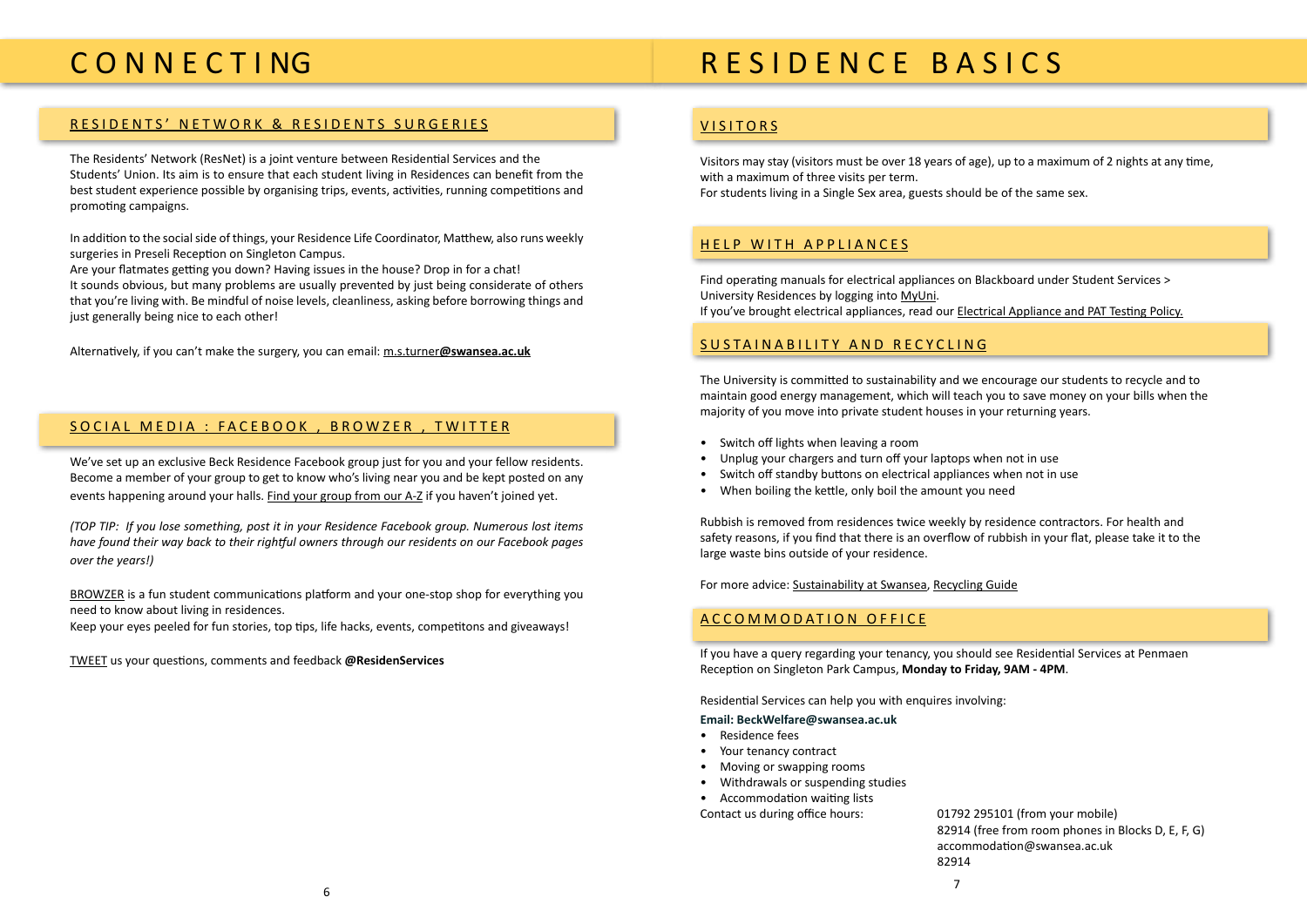# <span id="page-3-0"></span>C O N N E C T I NG

#### [RESIDENTS' NETWORK & RESIDENTS SURGERIES](http://www.swansea.ac.uk/accommodation/preparingforarrival/residentsnetwork/)

The Residents' Network (ResNet) is a joint venture between Residential Services and the Students' Union. Its aim is to ensure that each student living in Residences can benefit from the best student experience possible by organising trips, events, activities, running competitions and promoting campaigns.

In addition to the social side of things, your Residence Life Coordinator, Matthew, also runs weekly surgeries in Preseli Reception on Singleton Campus.

Are your flatmates getting you down? Having issues in the house? Drop in for a chat! It sounds obvious, but many problems are usually prevented by just being considerate of others that you're living with. Be mindful of noise levels, cleanliness, asking before borrowing things and just generally being nice to each other!

Alternatively, if you can't make the surgery, you can email: m.s.turner**@swansea.ac.uk**

#### SOCIAL MEDIA : [FACEBOOK](https://www.facebook.com/SwanseaAccommodation) , [BROWZER](http://browzer.co.uk/swansea) , [TWITTER](https://twitter.com/ResidenServices)

Find operating manuals for electrical appliances on Blackboard under Student Services > University Residences by logging into [MyUni](https://myuni.swan.ac.uk/). If you've brought electrical appliances, read our **[Electrical Appliance and PAT Testing Policy.](http://www.swansea.ac.uk/media/ELECTRICAL%20APPLIANCES%20POLICY%202012%20RESIDENCES.pdf)** 

We've set up an exclusive Beck Residence Facebook group just for you and your fellow residents. Become a member of your group to get to know who's living near you and be kept posted on any events happening around your halls. [Find your group from our A-Z](http://www.swansea.ac.uk/accommodation/a-z/facebooktwitterflickr/) if you haven't joined yet.

*(TOP TIP: If you lose something, post it in your Residence Facebook group. Numerous lost items have found their way back to their rightful owners through our residents on our Facebook pages over the years!)*

[BROWZER](http://browzer.co.uk/swansea) is a fun student communications platform and your one-stop shop for everything you need to know about living in residences.

Keep your eyes peeled for fun stories, top tips, life hacks, events, competitons and giveaways!

[TWEET](https://twitter.com/ResidenServices) us your questions, comments and feedback **[@ResidenServices](https://twitter.com/ResidenServices)**

## R E S I D E N C E B A S I C S

### VISITORS

82914 7 and 2010 and 2010 and 2010 and 2010 and 2010 and 2010 and 2010 and 2010 and 2010 and 2010 and 2010 and 2010<br>2010 and 2010 and 2010 and 2010 and 2010 and 2010 and 2010 and 2010 and 2010 and 2010 and 2010 and 2010 and 20

Visitors may stay (visitors must be over 18 years of age), up to a maximum of 2 nights at any time, with a maximum of three visits per term. For students living in a Single Sex area, guests should be of the same sex.

#### HELP WITH APPLIANCES

#### SUSTAINABILITY AND RECYCLING

The University is committed to sustainability and we encourage our students to recycle and to maintain good energy management, which will teach you to save money on your bills when the majority of you move into private student houses in your returning years.

- Switch off lights when leaving a room
- Unplug your chargers and turn off your laptops when not in use
- Switch off standby buttons on electrical appliances when not in use
- When boiling the kettle, only boil the amount you need

Rubbish is removed from residences twice weekly by residence contractors. For health and safety reasons, if you find that there is an overflow of rubbish in your flat, please take it to the large waste bins outside of your residence.

For more advice: [Sustainability at Swansea](http://www.swansea.ac.uk/sustainability/), [Recycling Guide](http://www.recycling-guide.org.uk/)

#### ACCOMMODATION OFFICE

If you have a query regarding your tenancy, you should see Residential Services at Penmaen Reception on Singleton Park Campus, **Monday to Friday, 9AM - 4PM**.

Residential Services can help you with enquires involving:

#### **Email: BeckWelfare@swansea.ac.uk**

- Residence fees
- Your tenancy contract
- Moving or swapping rooms
- Withdrawals or suspending studies
- Accommodation waiting lists

Contact us during office hours: 01792 295101 (from your mobile)

82914 (free from room phones in Blocks D, E, F, G) accommodation@swansea.ac.uk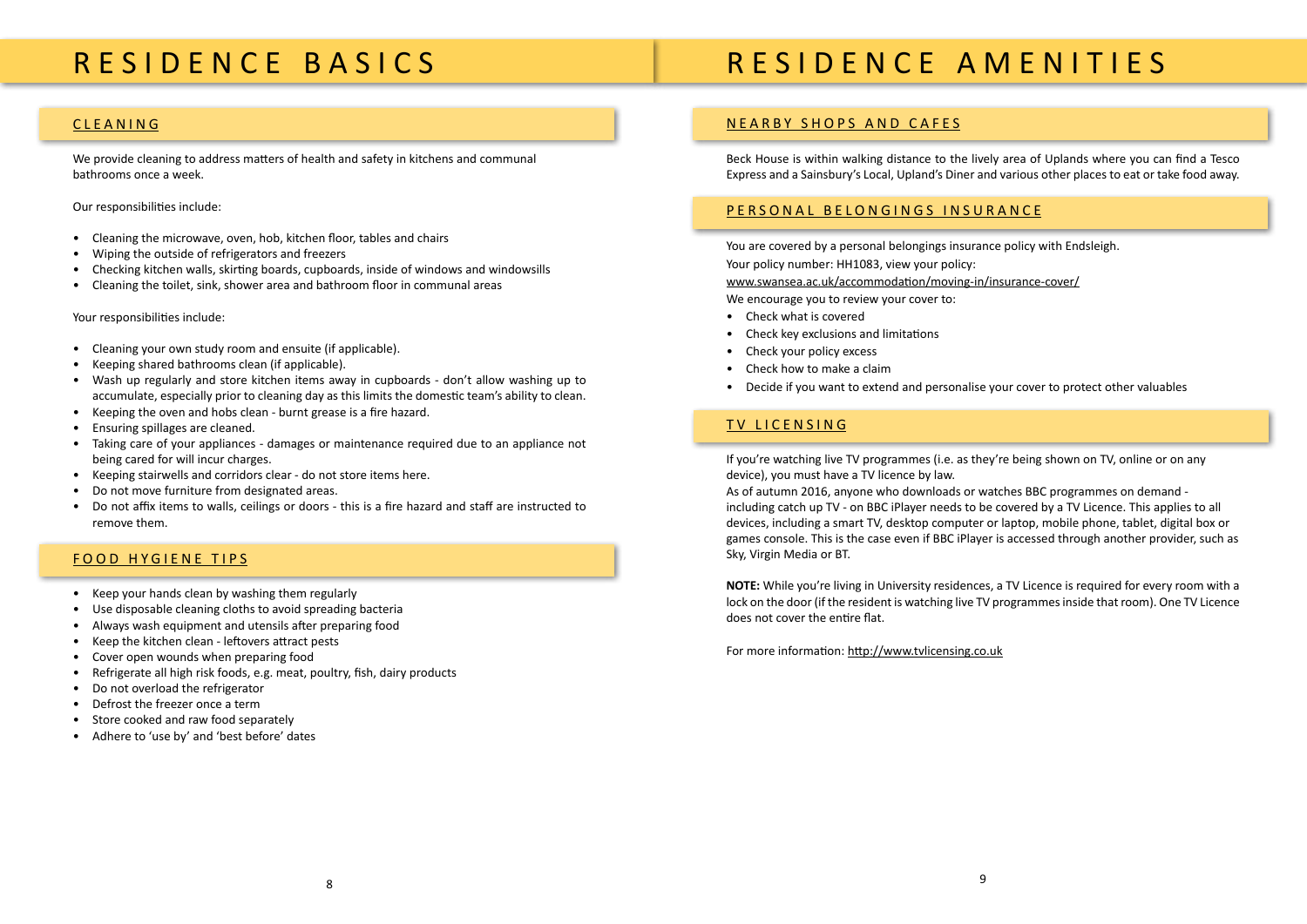# R E S I D E N C E A M E N I T I E S

#### NEARBY SHOPS AND CAFES

Beck House is within walking distance to the lively area of Uplands where you can find a Tesco Express and a Sainsbury's Local, Upland's Diner and various other places to eat or take food away.

#### [PERSONAL BELONGINGS INSURANCE](http://www.swansea.ac.uk/accommodation/preparingforarrival/insurancecover/)

You are covered by a personal belongings insurance policy with Endsleigh. Your policy number: [HH1083](https://www.endsleigh.co.uk/Umbraco/Api/AccommodationProviderApi/CertificateOfInsurance?nodeId=5486), view your policy: www.swansea.ac.uk/accommodation/moving-in/insurance-cover/ We encourage you to review your cover to:

- Check what is covered
- Check key exclusions and limitations
- Check your policy excess
- Check how to make a claim
- Decide if you want to extend and personalise your cover to protect other valuables

### TV LICENSING

If you're watching live TV programmes (i.e. as they're being shown on TV, online or on any device), you must have a TV licence by law. As of autumn 2016, anyone who downloads or watches BBC programmes on demand including catch up TV - on BBC iPlayer needs to be covered by a TV Licence. This applies to all devices, including a smart TV, desktop computer or laptop, mobile phone, tablet, digital box or games console. This is the case even if BBC iPlayer is accessed through another provider, such as Sky, Virgin Media or BT.

**NOTE:** While you're living in University residences, a TV Licence is required for every room with a lock on the door (if the resident is watching live TV programmes inside that room). One TV Licence does not cover the entire flat.

For more information: http://www.tvlicensing.co.uk

## <span id="page-4-0"></span>R E S I D E N C E B A S I C S

#### CLEANING

We provide cleaning to address matters of health and safety in kitchens and communal bathrooms once a week.

Our responsibilities include:

- Cleaning the microwave, oven, hob, kitchen floor, tables and chairs
- Wiping the outside of refrigerators and freezers
- Checking kitchen walls, skirting boards, cupboards, inside of windows and windowsills
- Cleaning the toilet, sink, shower area and bathroom floor in communal areas

Your responsibilities include:

- Cleaning your own study room and ensuite (if applicable).
- Keeping shared bathrooms clean (if applicable).
- Wash up regularly and store kitchen items away in cupboards don't allow washing up to accumulate, especially prior to cleaning day as this limits the domestic team's ability to clean.
- Keeping the oven and hobs clean burnt grease is a fire hazard.
- Ensuring spillages are cleaned.
- Taking care of your appliances damages or maintenance required due to an appliance not being cared for will incur charges.
- Keeping stairwells and corridors clear do not store items here.
- Do not move furniture from designated areas.
- Do not affix items to walls, ceilings or doors this is a fire hazard and staff are instructed to remove them.

### FOOD HYGIENE TIPS

- Keep your hands clean by washing them regularly
- Use disposable cleaning cloths to avoid spreading bacteria
- Always wash equipment and utensils after preparing food
- Keep the kitchen clean leftovers attract pests
- Cover open wounds when preparing food
- Refrigerate all high risk foods, e.g. meat, poultry, fish, dairy products
- Do not overload the refrigerator
- Defrost the freezer once a term
- Store cooked and raw food separately
- Adhere to 'use by' and 'best before' dates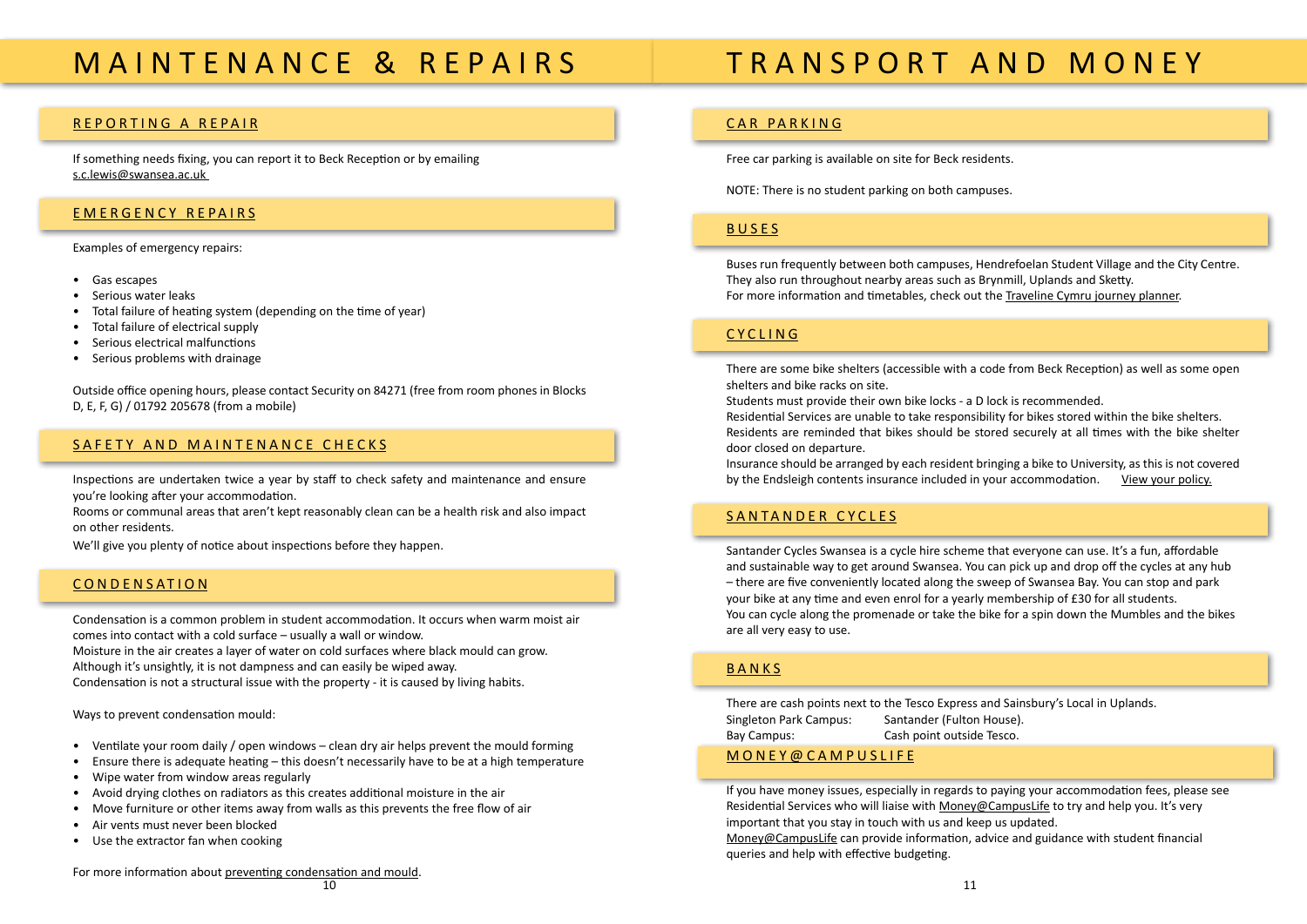# <span id="page-5-0"></span>M A I N T E N A N C E & R E P A I R S

#### REPORTING A REPAIR

If something needs fixing, you can report it to Beck Reception or by emailing s.c.lewis@swansea.ac.uk

#### EMERGENCY REPAIRS

#### Examples of emergency repairs:

- Gas escapes
- Serious water leaks
- Total failure of heating system (depending on the time of year)
- Total failure of electrical supply
- Serious electrical malfunctions
- Serious problems with drainage

Outside office opening hours, please contact Security on 84271 (free from room phones in Blocks D, E, F, G) / 01792 205678 (from a mobile)

#### SAFETY AND MAINTENANCE CHECKS

Inspections are undertaken twice a year by staff to check safety and maintenance and ensure you're looking after your accommodation.

Rooms or communal areas that aren't kept reasonably clean can be a health risk and also impact on other residents.

We'll give you plenty of notice about inspections before they happen.

#### **CONDENSATION**

Condensation is a common problem in student accommodation. It occurs when warm moist air comes into contact with a cold surface – usually a wall or window. Moisture in the air creates a layer of water on cold surfaces where black mould can grow. Although it's unsightly, it is not dampness and can easily be wiped away. Condensation is not a structural issue with the property - it is caused by living habits.

Ways to prevent condensation mould:

Insurance should be arranged by each resident bringing a bike to University, as this is not covered by the Endsleigh contents insurance included in your accommodation. <u>[View your policy.](http://www.swansea.ac.uk/accommodation/preparingforarrival/insurancecover/)</u>

#### SANTANDER CYCLES

- Ventilate your room daily / open windows clean dry air helps prevent the mould forming
- Ensure there is adequate heating this doesn't necessarily have to be at a high temperature
- Wipe water from window areas regularly
- Avoid drying clothes on radiators as this creates additional moisture in the air
- Move furniture or other items away from walls as this prevents the free flow of air
- Air vents must never been blocked
- Use the extractor fan when cooking

For more information about [preventing condensation and mould](https://www.swansea.ac.uk/media/CondensationMouldLeaflet.pdf).

# T R A N S P O R T A N D M O N E Y

### CAR PARKING

Free car parking is available on site for Beck residents.

NOTE: There is no student parking on both campuses.

#### BUSES

Buses run frequently between both campuses, Hendrefoelan Student Village and the City Centre. They also run throughout nearby areas such as Brynmill, Uplands and Sketty. For more information and timetables, check out the [Traveline Cymru journey planner.](http://myunijourney.traveline.cymru/swansea-university/)

#### CYCLING

There are some bike shelters (accessible with a code from Beck Reception) as well as some open shelters and bike racks on site.

Students must provide their own bike locks - a D lock is recommended. Residential Services are unable to take responsibility for bikes stored within the bike shelters. Residents are reminded that bikes should be stored securely at all times with the bike shelter door closed on departure.

Santander Cycles Swansea is a cycle hire scheme that everyone can use. It's a fun, affordable and sustainable way to get around Swansea. You can pick up and drop off the cycles at any hub – there are five conveniently located along the sweep of Swansea Bay. You can stop and park your bike at any time and even enrol for a yearly membership of £30 for all students. You can cycle along the promenade or take the bike for a spin down the Mumbles and the bikes are all very easy to use.

#### BANKS

There are cash points next to the Tesco Express and Sainsbury's Local in Uplands. Singleton Park Campus: Santander (Fulton House). Bay Campus: Cash point outside Tesco.

### [MONEY@CAMPUSLIFE](http://www.swansea.ac.uk/money-campuslife/)

If you have money issues, especially in regards to paying your accommodation fees, please see Residential Services who will liaise with [Money@CampusLife](http://www.swansea.ac.uk/money-campuslife/) to try and help you. It's very important that you stay in touch with us and keep us updated. [Money@CampusLife](http://www.swansea.ac.uk/money-campuslife/) can provide information, advice and guidance with student financial queries and help with effective budgeting.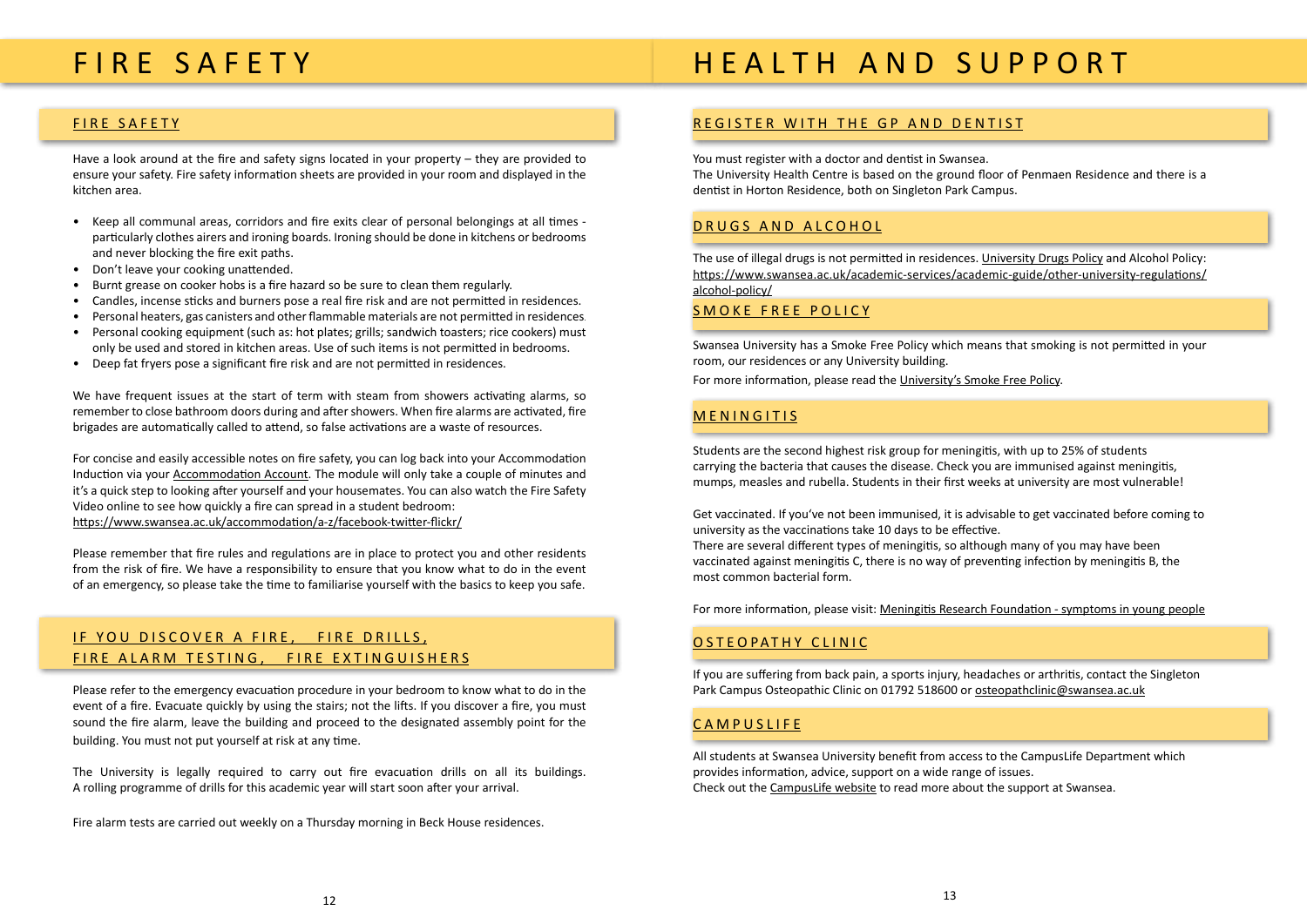### <span id="page-6-0"></span>FIRE SAFETY

### FIRE SAFETY

Have a look around at the fire and safety signs located in your property – they are provided to ensure your safety. Fire safety information sheets are provided in your room and displayed in the kitchen area.

- Keep all communal areas, corridors and fire exits clear of personal belongings at all times particularly clothes airers and ironing boards. Ironing should be done in kitchens or bedrooms and never blocking the fire exit paths.
- Don't leave your cooking unattended.
- Burnt grease on cooker hobs is a fire hazard so be sure to clean them regularly.
- Candles, incense sticks and burners pose a real fire risk and are not permitted in residences.
- Personal heaters, gas canisters and other flammable materials are not permitted in residences.
- Personal cooking equipment (such as: hot plates; grills; sandwich toasters; rice cookers) must only be used and stored in kitchen areas. Use of such items is not permitted in bedrooms.
- Deep fat fryers pose a significant fire risk and are not permitted in residences.

We have frequent issues at the start of term with steam from showers activating alarms, so remember to close bathroom doors during and after showers. When fire alarms are activated, fire brigades are automatically called to attend, so false activations are a waste of resources.

For concise and easily accessible notes on fire safety, you can log back into your Accommodation Induction via your [Accommodation Account](https://universityservices.swan.ac.uk/contracts/). The module will only take a couple of minutes and it's a quick step to looking after yourself and your housemates. You can also watch the [Fire Safety](http://www.swansea.ac.uk/parents-guide/student-support/fire-safety/) [Video](http://www.swansea.ac.uk/parents-guide/student-support/fire-safety/) online to see how quickly a fire can spread in a student bedroom: https://www.swansea.ac.uk/accommodation/a-z/facebook-twitter-flickr/

The use of illegal drugs is not permitted in residences. [University Drugs Policy](http://www.swansea.ac.uk/media/Drugs%20Policy%20Final.pdf) and [Alcohol Policy:](https://www.swansea.ac.uk/media/Student%20Alcohol%20Policy.pdf) https://www.swansea.ac.uk/academic-services/academic-guide/other-university-regulations/ alcohol-policy/

Please remember that fire rules and regulations are in place to protect you and other residents from the risk of fire. We have a responsibility to ensure that you know what to do in the event of an emergency, so please take the time to familiarise yourself with the basics to keep you safe.

### IF YOU DISCOVER A FIRE, FIRE DRILLS, FIRE ALARM TESTING, FIRE EXTINGUISHERS

Please refer to the emergency evacuation procedure in your bedroom to know what to do in the event of a fire. Evacuate quickly by using the stairs; not the lifts. If you discover a fire, you must sound the fire alarm, leave the building and proceed to the designated assembly point for the building. You must not put yourself at risk at any time.

The University is legally required to carry out fire evacuation drills on all its buildings. A rolling programme of drills for this academic year will start soon after your arrival.

Fire alarm tests are carried out weekly on a Thursday morning in Beck House residences.

# H E A L T H A N D S U P P O R T

### REGISTER WITH THE GP AND DENTIST

You must register with a doctor and dentist in Swansea. The University Health Centre is based on the ground floor of Penmaen Residence and there is a dentist in Horton Residence, both on Singleton Park Campus.

#### [DRUGS](http://www.swansea.ac.uk/media/Drugs%20Policy%20Final.pdf) AND [ALCOHOL](https://www.swansea.ac.uk/media/Student%20Alcohol%20Policy.pdf)

#### SMOKE FREE POLICY

Swansea University has a Smoke Free Policy which means that smoking is not permitted in your room, our residences or any University building. For more information, please read the [University's Smoke Free Policy](https://www.swansea.ac.uk/media/Smoke-Freey-Policy-36119-en.doc).

#### **MENINGITIS**

Students are the second highest risk group for meningitis, with up to 25% of students carrying the bacteria that causes the disease. Check you are immunised against meningitis, mumps, measles and rubella. Students in their first weeks at university are most vulnerable!

Get vaccinated. If you've not been immunised, it is advisable to get vaccinated before coming to university as the vaccinations take 10 days to be effective. There are several different types of meningitis, so although many of you may have been vaccinated against meningitis C, there is no way of preventing infection by meningitis B, the most common bacterial form.

For more information, please visit: [Meningitis Research Foundation - symptoms in young people](http://www.meningitis.org/symptoms/young-people)

#### [OSTEOPATHY CLINIC](http://www.swansea.ac.uk/hwa/health-and-wellbeing-services/osteopathicclinic/)

If you are suffering from back pain, a sports injury, headaches or arthritis, contact the Singleton Park Campus Osteopathic Clinic on 01792 518600 or osteopathclinic@swansea.ac.uk

#### **[CAMPUSLIFE](http://www.swansea.ac.uk/campuslife/)**

All students at Swansea University benefit from access to the CampusLife Department which provides information, advice, support on a wide range of issues. Check out the [CampusLife website](http://www.swansea.ac.uk/campuslife/) to read more about the support at Swansea.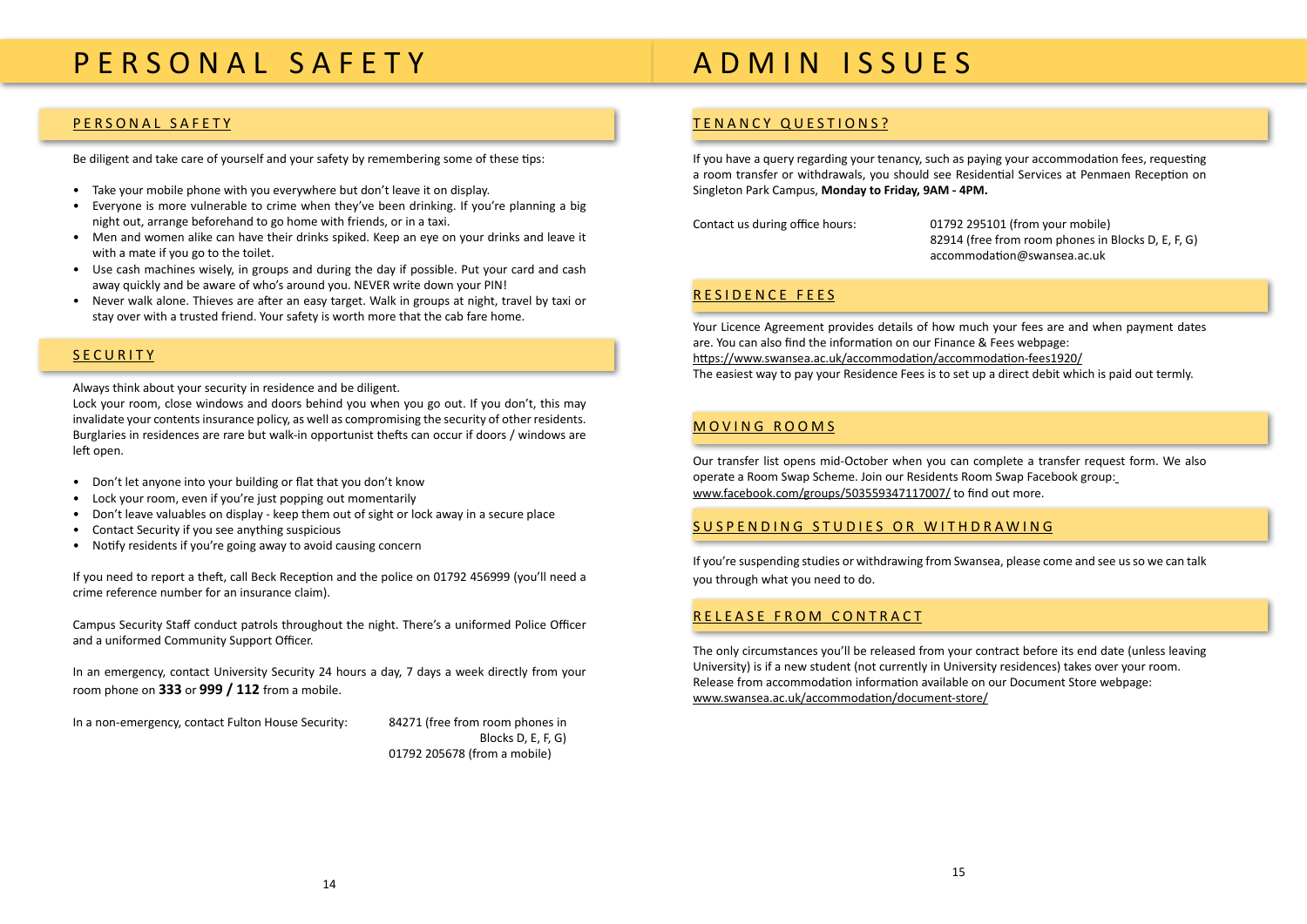# <span id="page-7-0"></span>P E R S O N A L S A F E T Y

#### PERSONAL SAFETY

Be diligent and take care of yourself and your safety by remembering some of these tips:

- Take your mobile phone with you everywhere but don't leave it on display.
- Everyone is more vulnerable to crime when they've been drinking. If you're planning a big night out, arrange beforehand to go home with friends, or in a taxi.
- Men and women alike can have their drinks spiked. Keep an eye on your drinks and leave it with a mate if you go to the toilet.
- Use cash machines wisely, in groups and during the day if possible. Put your card and cash away quickly and be aware of who's around you. NEVER write down your PIN!
- Never walk alone. Thieves are after an easy target. Walk in groups at night, travel by taxi or stay over with a trusted friend. Your safety is worth more that the cab fare home.

#### **SECURITY**

Always think about your security in residence and be diligent.

Lock your room, close windows and doors behind you when you go out. If you don't, this may invalidate your contents insurance policy, as well as compromising the security of other residents. Burglaries in residences are rare but walk-in opportunist thefts can occur if doors / windows are left open.

- Don't let anyone into your building or flat that you don't know
- Lock your room, even if you're just popping out momentarily
- Don't leave valuables on display keep them out of sight or lock away in a secure place
- Contact Security if you see anything suspicious
- Notify residents if you're going away to avoid causing concern

If you need to report a theft, call Beck Reception and the police on 01792 456999 (you'll need a crime reference number for an insurance claim).

Campus Security Staff conduct patrols throughout the night. There's a uniformed Police Officer and a uniformed Community Support Officer.

In an emergency, contact University Security 24 hours a day, 7 days a week directly from your room phone on **333** or **999 / 112** from a mobile.

In a non-emergency, contact Fulton House Security: 84271 (free from room phones in

 Blocks D, E, F, G) 01792 205678 (from a mobile)

# A D M I N I S S U E S

#### TENANCY QUESTIONS?

If you have a query regarding your tenancy, such as paying your accommodation fees, requesting a room transfer or withdrawals, you should see Residential Services at Penmaen Reception on Singleton Park Campus, **Monday to Friday, 9AM - 4PM.**

Contact us during office hours: 01792 295101 (from your mobile) 82914 (free from room phones in Blocks D, E, F, G) accommodation@swansea.ac.uk

#### [RESIDENCE FEES](http://www.swansea.ac.uk/accommodation/financefees/)

Your Licence Agreement provides details of how much your fees are and when payment dates are. You can also find the information on our [Finance & Fees webpage](http://www.swansea.ac.uk/accommodation/financefees/): https://www.swansea.ac.uk/accommodation/accommodation-fees1920/ The easiest way to pay your Residence Fees is to set up a direct debit which is paid out termly.

#### MOVING ROOMS

Our transfer list opens mid-October when you can complete a transfer request form. We also operate a Room Swap Scheme. Join our [Residents Room Swap Facebook group](https://www.facebook.com/groups/roomswap/): www.facebook.com/groups/503559347117007/ to find out more.

#### SUSPENDING STUDIES OR WITHDRAWING

If you're suspending studies or withdrawing from Swansea, please come and see us so we can talk you through what you need to do.

#### RELEASE FROM CONTRACT

The only circumstances you'll be released from your contract before its end date (unless leaving University) is if a new student (not currently in University residences) takes over your room. Release from accommodation information available on our [Document Store webpage:](http://www.swansea.ac.uk/accommodation/document-store/)  www.swansea.ac.uk/accommodation/document-store/